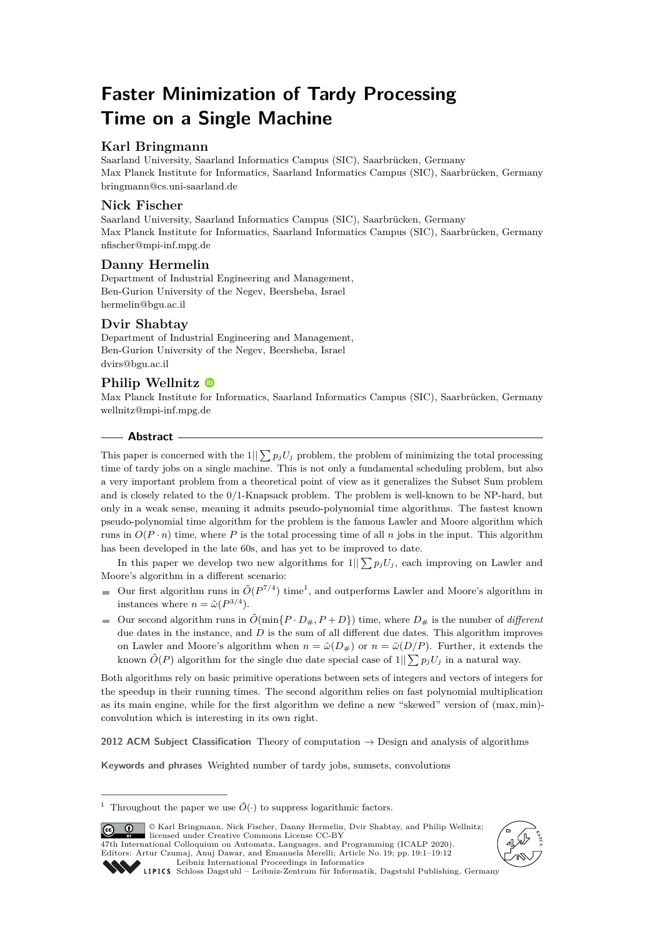# **Faster Minimization of Tardy Processing Time on a Single Machine**

# **Karl Bringmann**

Saarland University, Saarland Informatics Campus (SIC), Saarbrücken, Germany Max Planck Institute for Informatics, Saarland Informatics Campus (SIC), Saarbrücken, Germany [bringmann@cs.uni-saarland.de](mailto:bringmann@cs.uni-saarland.de)

# **Nick Fischer**

Saarland University, Saarland Informatics Campus (SIC), Saarbrücken, Germany Max Planck Institute for Informatics, Saarland Informatics Campus (SIC), Saarbrücken, Germany [nfischer@mpi-inf.mpg.de](mailto:nfischer@mpi-inf.mpg.de)

# **Danny Hermelin**

Department of Industrial Engineering and Management, Ben-Gurion University of the Negev, Beersheba, Israel [hermelin@bgu.ac.il](mailto:hermelin@bgu.ac.il)

# **Dvir Shabtay**

Department of Industrial Engineering and Management, Ben-Gurion University of the Negev, Beersheba, Israel [dvirs@bgu.ac.il](mailto:dvirs@bgu.ac.il)

# **Philip Wellnitz**

Max Planck Institute for Informatics, Saarland Informatics Campus (SIC), Saarbrücken, Germany [wellnitz@mpi-inf.mpg.de](mailto:wellnitz@mpi-inf.mpg.de)

## **Abstract**

This paper is concerned with the  $1||\sum p_j U_j$  problem, the problem of minimizing the total processing time of tardy jobs on a single machine. This is not only a fundamental scheduling problem, but also a very important problem from a theoretical point of view as it generalizes the Subset Sum problem and is closely related to the 0/1-Knapsack problem. The problem is well-known to be NP-hard, but only in a weak sense, meaning it admits pseudo-polynomial time algorithms. The fastest known pseudo-polynomial time algorithm for the problem is the famous Lawler and Moore algorithm which runs in  $O(P \cdot n)$  time, where P is the total processing time of all n jobs in the input. This algorithm has been developed in the late 60s, and has yet to be improved to date.

In this paper we develop two new algorithms for  $1||\sum p_j U_j$ , each improving on Lawler and Moore's algorithm in a different scenario:

- Our first algorithm runs in  $\tilde{O}(P^{7/4})$  time<sup>[1](#page-0-0)</sup>, and outperforms Lawler and Moore's algorithm in instances where  $n = \tilde{\omega}(P^{3/4})$ .
- Our second algorithm runs in  $\tilde{O}(\min\{P \cdot D_\#, P + D\})$  time, where  $D_\#$  is the number of *different* due dates in the instance, and *D* is the sum of all different due dates. This algorithm improves on Lawler and Moore's algorithm when  $n = \tilde{\omega}(D_{\#})$  or  $n = \tilde{\omega}(D/P)$ . Further, it extends the known  $\tilde{O}(P)$  algorithm for the single due date special case of  $1||\sum p_j U_j$  in a natural way.

Both algorithms rely on basic primitive operations between sets of integers and vectors of integers for the speedup in their running times. The second algorithm relies on fast polynomial multiplication as its main engine, while for the first algorithm we define a new "skewed" version of (max*,* min) convolution which is interesting in its own right.

**2012 ACM Subject Classification** Theory of computation → Design and analysis of algorithms

**Keywords and phrases** Weighted number of tardy jobs, sumsets, convolutions

© Karl Bringmann, Nick Fischer, Danny Hermelin, Dvir Shabtay, and Philip Wellnitz;  $\circ$   $\circ$ licensed under Creative Commons License CC-BY 47th International Colloquium on Automata, Languages, and Programming (ICALP 2020). Editors: Artur Czumaj, Anuj Dawar, and Emanuela Merelli; Article No. 19; pp. 19:1–19[:12](#page-11-0) [Leibniz International Proceedings in Informatics](https://www.dagstuhl.de/lipics/)



[Schloss Dagstuhl – Leibniz-Zentrum für Informatik, Dagstuhl Publishing, Germany](https://www.dagstuhl.de)

<span id="page-0-0"></span><sup>&</sup>lt;sup>1</sup> Throughout the paper we use  $\tilde{O}(\cdot)$  to suppress logarithmic factors.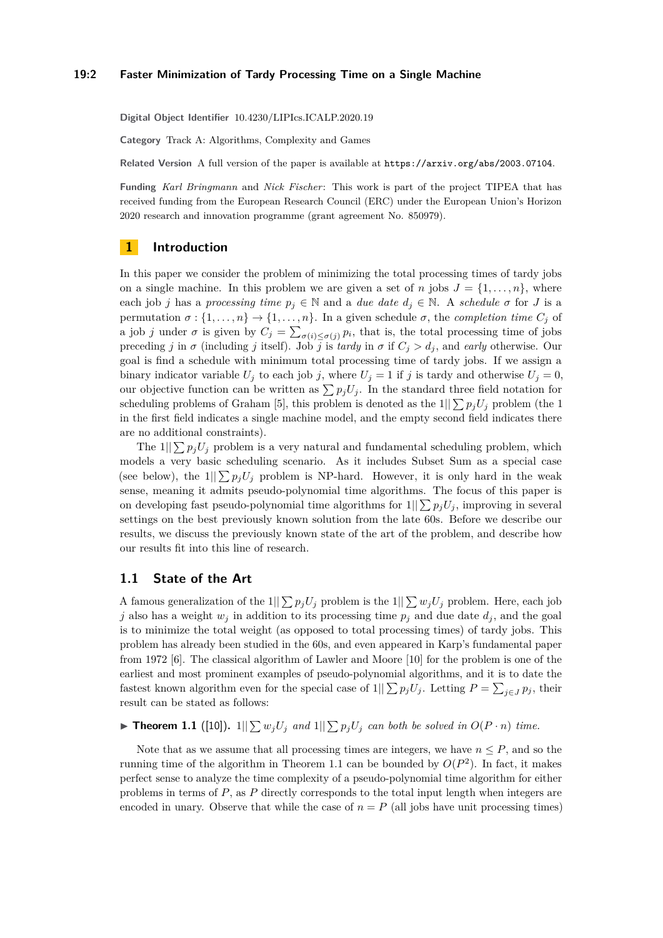#### **19:2 Faster Minimization of Tardy Processing Time on a Single Machine**

**Digital Object Identifier** [10.4230/LIPIcs.ICALP.2020.19](https://doi.org/10.4230/LIPIcs.ICALP.2020.19)

**Category** Track A: Algorithms, Complexity and Games

**Related Version** A full version of the paper is available at <https://arxiv.org/abs/2003.07104>.

**Funding** *Karl Bringmann* and *Nick Fischer*: This work is part of the project TIPEA that has received funding from the European Research Council (ERC) under the European Union's Horizon 2020 research and innovation programme (grant agreement No. 850979).

# **1 Introduction**

In this paper we consider the problem of minimizing the total processing times of tardy jobs on a single machine. In this problem we are given a set of *n* jobs  $J = \{1, \ldots, n\}$ , where each job *j* has a *processing time*  $p_j \in \mathbb{N}$  and a *due date*  $d_j \in \mathbb{N}$ . A *schedule*  $\sigma$  for *J* is a permutation  $\sigma : \{1, \ldots, n\} \to \{1, \ldots, n\}$ . In a given schedule  $\sigma$ , the *completion time*  $C_j$  of a job *j* under  $\sigma$  is given by  $C_j = \sum_{\sigma(i) \leq \sigma(j)} p_i$ , that is, the total processing time of jobs preceding *j* in *σ* (including *j* itself). Job *j* is *tardy* in *σ* if  $C_j > d_j$ , and *early* otherwise. Our goal is find a schedule with minimum total processing time of tardy jobs. If we assign a binary indicator variable  $U_j$  to each job *j*, where  $U_j = 1$  if *j* is tardy and otherwise  $U_j = 0$ , our objective function can be written as  $\sum p_j U_j$ . In the standard three field notation for scheduling problems of Graham [\[5\]](#page-11-1), this problem is denoted as the  $1||\sum p_i U_i$  problem (the 1 in the first field indicates a single machine model, and the empty second field indicates there are no additional constraints).

The  $1||\sum p_j U_j$  problem is a very natural and fundamental scheduling problem, which models a very basic scheduling scenario. As it includes Subset Sum as a special case (see below), the  $1||\sum p_j U_j$  problem is NP-hard. However, it is only hard in the weak sense, meaning it admits pseudo-polynomial time algorithms. The focus of this paper is on developing fast pseudo-polynomial time algorithms for  $1||\sum p_j U_j$ , improving in several settings on the best previously known solution from the late 60s. Before we describe our results, we discuss the previously known state of the art of the problem, and describe how our results fit into this line of research.

# **1.1 State of the Art**

A famous generalization of the  $1||\sum p_j U_j$  problem is the  $1||\sum w_j U_j$  problem. Here, each job *j* also has a weight  $w_j$  in addition to its processing time  $p_j$  and due date  $d_j$ , and the goal is to minimize the total weight (as opposed to total processing times) of tardy jobs. This problem has already been studied in the 60s, and even appeared in Karp's fundamental paper from 1972 [\[6\]](#page-11-2). The classical algorithm of Lawler and Moore [\[10\]](#page-11-3) for the problem is one of the earliest and most prominent examples of pseudo-polynomial algorithms, and it is to date the fastest known algorithm even for the special case of  $1||\sum p_j U_j$ . Letting  $P = \sum_{j \in J} p_j$ , their result can be stated as follows:

<span id="page-1-0"></span> $\blacktriangleright$  **Theorem 1.1** ([\[10\]](#page-11-3)). 1|| $\sum w_j U_j$  *and* 1|| $\sum p_j U_j$  *can both be solved in*  $O(P \cdot n)$  *time.* 

Note that as we assume that all processing times are integers, we have  $n \leq P$ , and so the running time of the algorithm in Theorem [1.1](#page-1-0) can be bounded by  $O(P^2)$ . In fact, it makes perfect sense to analyze the time complexity of a pseudo-polynomial time algorithm for either problems in terms of *P*, as *P* directly corresponds to the total input length when integers are encoded in unary. Observe that while the case of  $n = P$  (all jobs have unit processing times)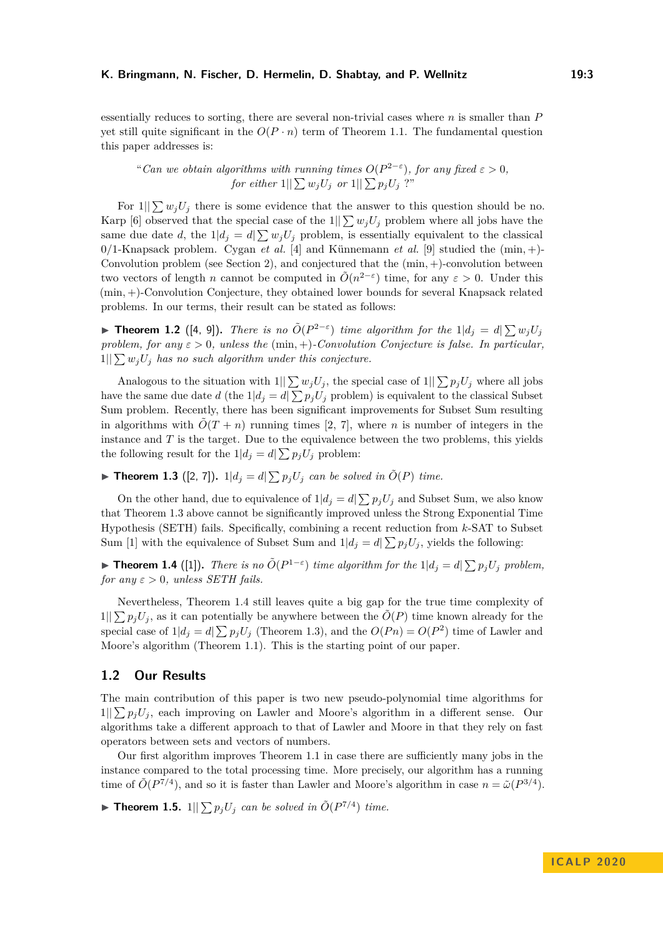essentially reduces to sorting, there are several non-trivial cases where *n* is smaller than *P* yet still quite significant in the  $O(P \cdot n)$  term of Theorem [1.1.](#page-1-0) The fundamental question this paper addresses is:

"Can we obtain algorithms with running times  $O(P^{2-\epsilon})$ , for any fixed  $\varepsilon > 0$ , *for either*  $1||\sum w_j U_j$  *or*  $1||\sum p_j U_j$  ?"

For  $1||\sum w_j U_j$  there is some evidence that the answer to this question should be no. Karp [\[6\]](#page-11-2) observed that the special case of the  $1||\sum w_i U_i$  problem where all jobs have the same due date *d*, the  $1|d_j = d \sum w_j U_j$  problem, is essentially equivalent to the classical 0/1-Knapsack problem. Cygan *et al.* [\[4\]](#page-11-4) and Künnemann *et al.* [\[9\]](#page-11-5) studied the (min*,* +)- Convolution problem (see Section [2\)](#page-3-0), and conjectured that the (min*,* +)-convolution between two vectors of length *n* cannot be computed in  $\tilde{O}(n^{2-\epsilon})$  time, for any  $\varepsilon > 0$ . Under this (min*,* +)-Convolution Conjecture, they obtained lower bounds for several Knapsack related problems. In our terms, their result can be stated as follows:

<span id="page-2-3"></span>▶ **Theorem 1.2** ([\[4,](#page-11-4) [9\]](#page-11-5)). *There is no*  $\tilde{O}(P^{2-\epsilon})$  *time algorithm for the*  $1|d_j = d|\sum w_j U_j$ *problem, for any*  $\varepsilon > 0$ , unless the  $(\min, +)$ -Convolution Conjecture is false. In particular,  $1||\sum w_i U_i$  has no such algorithm under this conjecture.

Analogous to the situation with  $1||\sum w_j U_j$ , the special case of  $1||\sum p_j U_j$  where all jobs have the same due date *d* (the  $1|d_j = d \sum p_j U_j$  problem) is equivalent to the classical Subset Sum problem. Recently, there has been significant improvements for Subset Sum resulting in algorithms with  $\tilde{O}(T + n)$  running times [\[2,](#page-11-6) [7\]](#page-11-7), where *n* is number of integers in the instance and *T* is the target. Due to the equivalence between the two problems, this yields the following result for the  $1|d_j = d \sum p_j U_j$  problem:

<span id="page-2-0"></span>**Find Theorem 1.3** ([\[2,](#page-11-6) [7\]](#page-11-7)).  $1|d_j = d \leq P_j U_j$  can be solved in  $\tilde{O}(P)$  time.

On the other hand, due to equivalence of  $1|d_j = d \sum p_j U_j$  and Subset Sum, we also know that Theorem [1.3](#page-2-0) above cannot be significantly improved unless the Strong Exponential Time Hypothesis (SETH) fails. Specifically, combining a recent reduction from *k*-SAT to Subset Sum [\[1\]](#page-11-8) with the equivalence of Subset Sum and  $1|d_j = d \sum p_j U_j$ , yields the following:

<span id="page-2-1"></span>▶ **Theorem 1.4** ([\[1\]](#page-11-8)). *There is no*  $\tilde{O}(P^{1-\epsilon})$  *time algorithm for the*  $1|d_j = d| \sum p_j U_j$  *problem, for any*  $\varepsilon > 0$ *, unless SETH fails.* 

Nevertheless, Theorem [1.4](#page-2-1) still leaves quite a big gap for the true time complexity of  $1||\sum p_i U_i$ , as it can potentially be anywhere between the  $\tilde{O}(P)$  time known already for the special case of  $1|d_j = d \sum p_j U_j$  (Theorem [1.3\)](#page-2-0), and the  $O(Pn) = O(P^2)$  time of Lawler and Moore's algorithm (Theorem [1.1\)](#page-1-0). This is the starting point of our paper.

## **1.2 Our Results**

The main contribution of this paper is two new pseudo-polynomial time algorithms for  $1||\sum p_i U_i$ , each improving on Lawler and Moore's algorithm in a different sense. Our algorithms take a different approach to that of Lawler and Moore in that they rely on fast operators between sets and vectors of numbers.

Our first algorithm improves Theorem [1.1](#page-1-0) in case there are sufficiently many jobs in the instance compared to the total processing time. More precisely, our algorithm has a running time of  $\tilde{O}(P^{7/4})$ , and so it is faster than Lawler and Moore's algorithm in case  $n = \tilde{\omega}(P^{3/4})$ .

<span id="page-2-2"></span>**Find Theorem 1.5.** 1 $\|\sum p_j U_j\|$  *can be solved in*  $\tilde{O}(P^{7/4})$  *time.*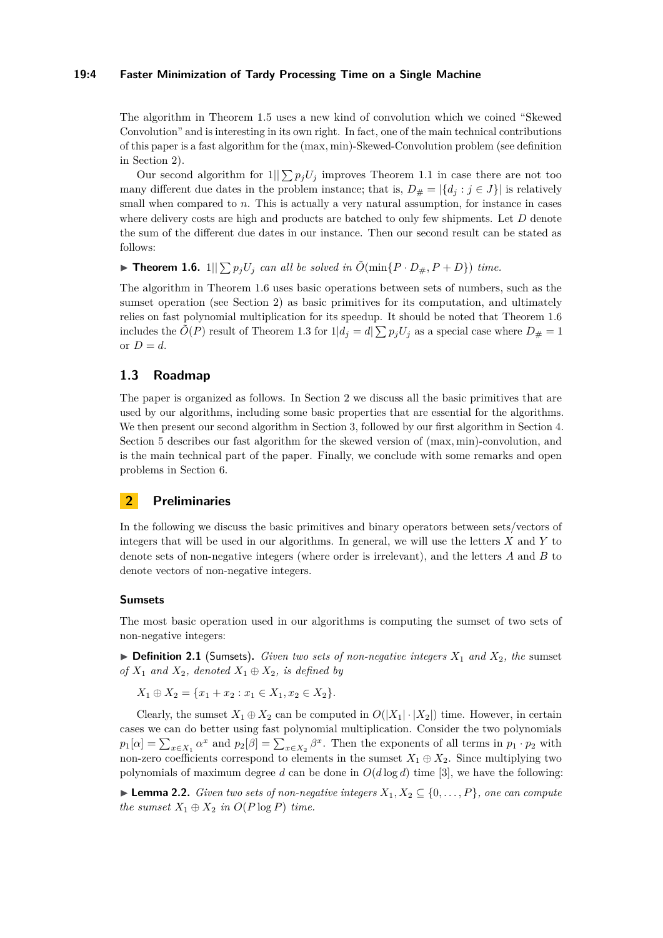#### **19:4 Faster Minimization of Tardy Processing Time on a Single Machine**

The algorithm in Theorem [1.5](#page-2-2) uses a new kind of convolution which we coined "Skewed Convolution" and is interesting in its own right. In fact, one of the main technical contributions of this paper is a fast algorithm for the (max*,* min)-Skewed-Convolution problem (see definition in Section [2\)](#page-3-0).

Our second algorithm for  $1||\sum p_j U_j$  improves Theorem [1.1](#page-1-0) in case there are not too many different due dates in the problem instance; that is,  $D_{\#} = |\{d_j : j \in J\}|$  is relatively small when compared to *n*. This is actually a very natural assumption, for instance in cases where delivery costs are high and products are batched to only few shipments. Let *D* denote the sum of the different due dates in our instance. Then our second result can be stated as follows:

<span id="page-3-1"></span> $\triangleright$  **Theorem 1.6.** 1 $\left\| \sum p_j U_j \right\|$  *can all be solved in*  $\tilde{O}(\min\{P \cdot D_\#, P + D\})$  *time.* 

The algorithm in Theorem [1.6](#page-3-1) uses basic operations between sets of numbers, such as the sumset operation (see Section [2\)](#page-3-0) as basic primitives for its computation, and ultimately relies on fast polynomial multiplication for its speedup. It should be noted that Theorem [1.6](#page-3-1) includes the  $\tilde{O}(P)$  result of Theorem [1.3](#page-2-0) for  $1|d_j = d \mid \sum p_j U_j$  as a special case where  $D_{\#} = 1$ or  $D = d$ .

## **1.3 Roadmap**

The paper is organized as follows. In Section [2](#page-3-0) we discuss all the basic primitives that are used by our algorithms, including some basic properties that are essential for the algorithms. We then present our second algorithm in Section [3,](#page-4-0) followed by our first algorithm in Section [4.](#page-6-0) Section [5](#page-8-0) describes our fast algorithm for the skewed version of (max*,* min)-convolution, and is the main technical part of the paper. Finally, we conclude with some remarks and open problems in Section [6.](#page-10-0)

## <span id="page-3-0"></span>**2 Preliminaries**

In the following we discuss the basic primitives and binary operators between sets/vectors of integers that will be used in our algorithms. In general, we will use the letters *X* and *Y* to denote sets of non-negative integers (where order is irrelevant), and the letters *A* and *B* to denote vectors of non-negative integers.

#### **Sumsets**

The most basic operation used in our algorithms is computing the sumset of two sets of non-negative integers:

<span id="page-3-3"></span> $\triangleright$  **Definition 2.1** (Sumsets). *Given two sets of non-negative integers*  $X_1$  *and*  $X_2$ *, the sumset of*  $X_1$  *and*  $X_2$ *, denoted*  $X_1 \oplus X_2$ *, is defined by* 

 $X_1 \oplus X_2 = \{x_1 + x_2 : x_1 \in X_1, x_2 \in X_2\}.$ 

Clearly, the sumset  $X_1 \oplus X_2$  can be computed in  $O(|X_1| \cdot |X_2|)$  time. However, in certain cases we can do better using fast polynomial multiplication. Consider the two polynomials  $p_1[\alpha] = \sum_{x \in X_1} \alpha^x$  and  $p_2[\beta] = \sum_{x \in X_2} \beta^x$ . Then the exponents of all terms in  $p_1 \cdot p_2$  with non-zero coefficients correspond to elements in the sumset  $X_1 \oplus X_2$ . Since multiplying two polynomials of maximum degree *d* can be done in  $O(d \log d)$  time [\[3\]](#page-11-9), we have the following:

<span id="page-3-2"></span>► **Lemma 2.2.** *Given two sets of non-negative integers*  $X_1, X_2 \subseteq \{0, \ldots, P\}$ *, one can compute the sumset*  $X_1 \oplus X_2$  *in*  $O(P \log P)$  *time.*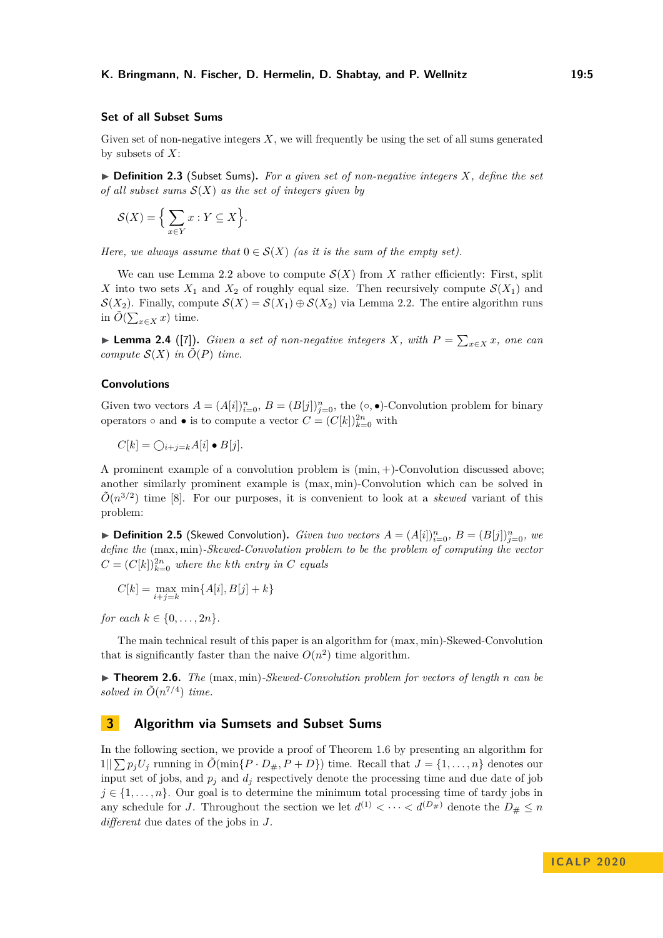#### **Set of all Subset Sums**

Given set of non-negative integers *X*, we will frequently be using the set of all sums generated by subsets of *X*:

I **Definition 2.3** (Subset Sums)**.** *For a given set of non-negative integers X, define the set of all subset sums* S(*X*) *as the set of integers given by*

$$
\mathcal{S}(X) = \Big\{ \sum_{x \in Y} x : Y \subseteq X \Big\}.
$$

*Here, we always assume that*  $0 \in S(X)$  *(as it is the sum of the empty set).* 

We can use Lemma [2.2](#page-3-2) above to compute  $\mathcal{S}(X)$  from X rather efficiently: First, split *X* into two sets  $X_1$  and  $X_2$  of roughly equal size. Then recursively compute  $\mathcal{S}(X_1)$  and  $S(X_2)$ . Finally, compute  $S(X) = S(X_1) \oplus S(X_2)$  via Lemma [2.2.](#page-3-2) The entire algorithm runs in  $\tilde{O}(\sum_{x \in X} x)$  time.

<span id="page-4-1"></span>▶ **Lemma 2.4** ([\[7\]](#page-11-7)). *Given a set of non-negative integers X, with*  $P = \sum_{x \in X} x$ *, one can compute*  $S(X)$  *in*  $\tilde{O}(P)$  *time.* 

#### **Convolutions**

Given two vectors  $A = (A[i])_{i=0}^n$ ,  $B = (B[j])_{j=0}^n$ , the  $(\circ, \bullet)$ -Convolution problem for binary operators  $\circ$  and  $\bullet$  is to compute a vector  $C = (C[k])_{k=0}^{2n}$  with

 $C[k] = \bigcap_{i+j=k} A[i] \bullet B[j].$ 

A prominent example of a convolution problem is (min*,* +)-Convolution discussed above; another similarly prominent example is (max*,* min)-Convolution which can be solved in  $\tilde{O}(n^{3/2})$  time [\[8\]](#page-11-10). For our purposes, it is convenient to look at a *skewed* variant of this problem:

<span id="page-4-2"></span> $\blacktriangleright$  **Definition 2.5** (Skewed Convolution). *Given two vectors*  $A = (A[i])_{i=0}^n$ ,  $B = (B[j])_{j=0}^n$ , we *define the* (max*,* min)*-Skewed-Convolution problem to be the problem of computing the vector*  $C = (C[k])_{k=0}^{2n}$  *where the kth entry in C equals* 

$$
C[k] = \max_{i+j=k} \min\{A[i], B[j] + k\}
$$

*for each*  $k \in \{0, ..., 2n\}$ *.* 

The main technical result of this paper is an algorithm for (max*,* min)-Skewed-Convolution that is significantly faster than the naive  $O(n^2)$  time algorithm.

<span id="page-4-3"></span>▶ **Theorem 2.6.** *The* (max, min)*-Skewed-Convolution problem for vectors of length n can be* solved in  $\tilde{O}(n^{7/4})$  time.

#### <span id="page-4-0"></span>**3 Algorithm via Sumsets and Subset Sums**

In the following section, we provide a proof of Theorem [1.6](#page-3-1) by presenting an algorithm for 1|| $\sum p_i U_i$  running in  $\tilde{O}(\min\{P \cdot D_\#, P + D\})$  time. Recall that  $J = \{1, \ldots, n\}$  denotes our input set of jobs, and  $p_j$  and  $d_j$  respectively denote the processing time and due date of job  $j \in \{1, \ldots, n\}$ . Our goal is to determine the minimum total processing time of tardy jobs in any schedule for *J*. Throughout the section we let  $d^{(1)} < \cdots < d^{(D_{\#})}$  denote the  $D_{\#} \leq n$ *different* due dates of the jobs in *J*.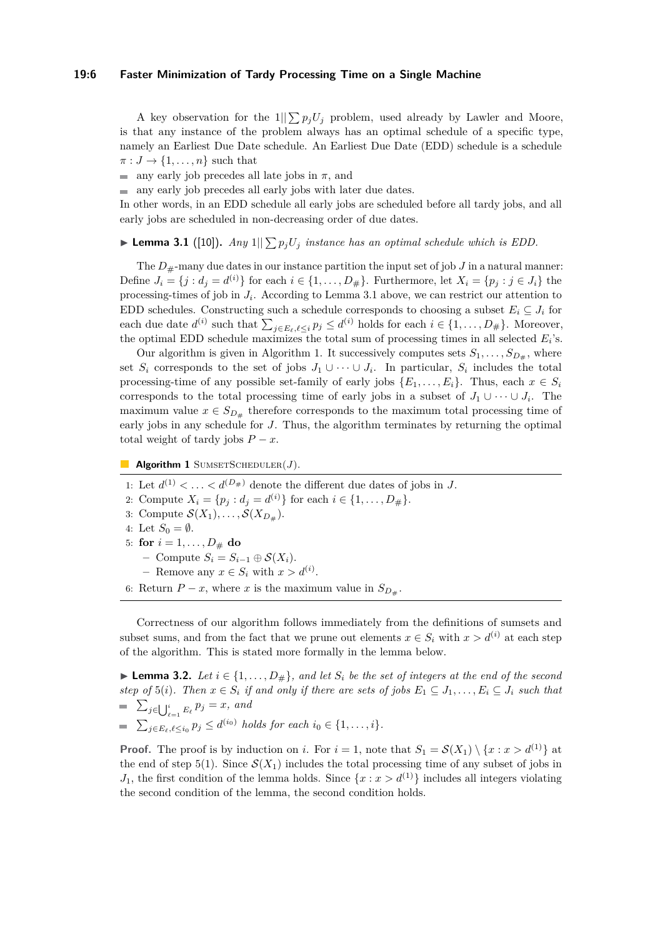#### **19:6 Faster Minimization of Tardy Processing Time on a Single Machine**

A key observation for the  $1||\sum p_j U_j$  problem, used already by Lawler and Moore, is that any instance of the problem always has an optimal schedule of a specific type, namely an Earliest Due Date schedule. An Earliest Due Date (EDD) schedule is a schedule  $\pi: J \to \{1, \ldots, n\}$  such that

- any early job precedes all late jobs in  $\pi$ , and
- any early job precedes all early jobs with later due dates.

In other words, in an EDD schedule all early jobs are scheduled before all tardy jobs, and all early jobs are scheduled in non-decreasing order of due dates.

### <span id="page-5-0"></span>**Lemma 3.1** ([\[10\]](#page-11-3)). *Any*  $1||\sum p_j U_j$  *instance has an optimal schedule which is EDD.*

The  $D_{\#}$ -many due dates in our instance partition the input set of job  $J$  in a natural manner: Define  $J_i = \{j : d_j = d^{(i)}\}$  for each  $i \in \{1, \ldots, D_\# \}$ . Furthermore, let  $X_i = \{p_j : j \in J_i\}$  the processing-times of job in *J<sup>i</sup>* . According to Lemma [3.1](#page-5-0) above, we can restrict our attention to EDD schedules. Constructing such a schedule corresponds to choosing a subset  $E_i \subseteq J_i$  for each due date  $d^{(i)}$  such that  $\sum_{j \in E_{\ell}, \ell \leq i} p_j \leq d^{(i)}$  holds for each  $i \in \{1, \ldots, D_{\#}\}\.$  Moreover, the optimal EDD schedule maximizes the total sum of processing times in all selected *E<sup>i</sup>* 's.

Our algorithm is given in Algorithm [1.](#page-5-1) It successively computes sets  $S_1, \ldots, S_{D_{\#}}$ , where set  $S_i$  corresponds to the set of jobs  $J_1 \cup \cdots \cup J_i$ . In particular,  $S_i$  includes the total processing-time of any possible set-family of early jobs  $\{E_1, \ldots, E_i\}$ . Thus, each  $x \in S_i$ corresponds to the total processing time of early jobs in a subset of  $J_1 \cup \cdots \cup J_i$ . The maximum value  $x \in S_{D_{\#}}$  therefore corresponds to the maximum total processing time of early jobs in any schedule for *J*. Thus, the algorithm terminates by returning the optimal total weight of tardy jobs  $P - x$ .

<span id="page-5-1"></span>**Algorithm 1** SUMSETSCHEDULER $(J)$ .

- 1: Let  $d^{(1)} < \ldots < d^{(D_{\#})}$  denote the different due dates of jobs in *J*.
- 2: Compute  $X_i = \{p_j : d_j = d^{(i)}\}$  for each  $i \in \{1, ..., D_\# \}$ .
- 3: Compute  $\mathcal{S}(X_1), \ldots, \mathcal{S}(X_{D_{\#}})$ .
- 4: Let  $S_0 = \emptyset$ .
- 5: **for**  $i = 1, ..., D_{\#}$  **do** 
	- $-$  Compute  $S_i = S_{i-1} ⊕ S(X_i)$ .
	- − Remove any  $x \in S_i$  with  $x > d^{(i)}$ .
- 6: Return  $P x$ , where *x* is the maximum value in  $S_{D_{\#}}$ .

Correctness of our algorithm follows immediately from the definitions of sumsets and subset sums, and from the fact that we prune out elements  $x \in S_i$  with  $x > d^{(i)}$  at each step of the algorithm. This is stated more formally in the lemma below.

▶ **Lemma 3.2.** *Let*  $i \in \{1, \ldots, D_{\#}\}\$ , and let  $S_i$  be the set of integers at the end of the second *step of*  $5(i)$ *. Then*  $x \in S_i$  *if and only if there are sets of jobs*  $E_1 \subseteq J_1, \ldots, E_i \subseteq J_i$  *such that*  $\sum_{j \in \bigcup_{\ell=1}^i E_\ell} p_j = x$ , and  $\sum_{j \in E_{\ell}, \ell \leq i_0} p_j \leq d^{(i_0)}$  *holds for each*  $i_0 \in \{1, ..., i\}$ *.* 

**Proof.** The proof is by induction on *i*. For  $i = 1$ , note that  $S_1 = \mathcal{S}(X_1) \setminus \{x : x > d^{(1)}\}$  at the end of step 5(1). Since  $\mathcal{S}(X_1)$  includes the total processing time of any subset of jobs in  $J_1$ , the first condition of the lemma holds. Since  $\{x : x > d^{(1)}\}$  includes all integers violating the second condition of the lemma, the second condition holds.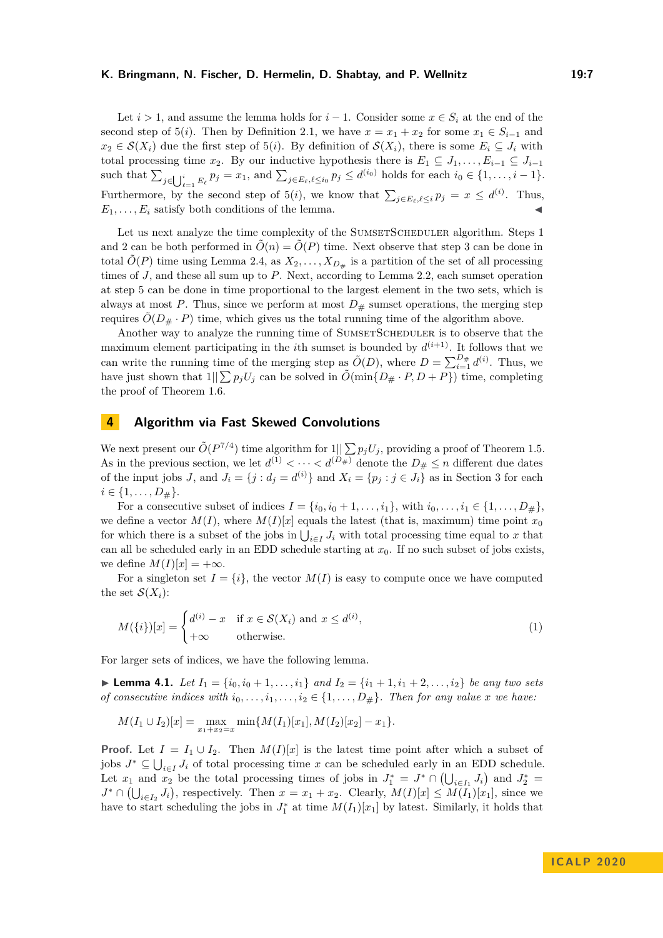Let  $i > 1$ , and assume the lemma holds for  $i - 1$ . Consider some  $x \in S_i$  at the end of the second step of 5(*i*). Then by Definition [2.1,](#page-3-3) we have  $x = x_1 + x_2$  for some  $x_1 \in S_{i-1}$  and  $x_2 \in S(X_i)$  due the first step of 5(*i*). By definition of  $S(X_i)$ , there is some  $E_i \subseteq J_i$  with total processing time  $x_2$ . By our inductive hypothesis there is  $E_1 \subseteq J_1, \ldots, E_{i-1} \subseteq J_{i-1}$ such that  $\sum_{j\in\bigcup_{\ell=1}^i E_\ell} p_j = x_1$ , and  $\sum_{j\in E_\ell, \ell \leq i_0} p_j \leq d^{(i_0)}$  holds for each  $i_0 \in \{1, \ldots, i-1\}$ . Furthermore, by the second step of 5(*i*), we know that  $\sum_{j\in E_{\ell},\ell\leq i}p_j = x \leq d^{(i)}$ . Thus,  $E_1, \ldots, E_i$  satisfy both conditions of the lemma.

Let us next analyze the time complexity of the SUMSETSCHEDULER algorithm. Steps 1 and 2 can be both performed in  $O(n) = O(P)$  time. Next observe that step 3 can be done in total  $\tilde{O}(P)$  time using Lemma [2.4,](#page-4-1) as  $X_2, \ldots, X_{D_{\#}}$  is a partition of the set of all processing times of *J*, and these all sum up to *P*. Next, according to Lemma [2.2,](#page-3-2) each sumset operation at step 5 can be done in time proportional to the largest element in the two sets, which is always at most  $P$ . Thus, since we perform at most  $D_{\#}$  sumset operations, the merging step requires  $\tilde{O}(D_{\#} \cdot P)$  time, which gives us the total running time of the algorithm above.

Another way to analyze the running time of SUMSETSCHEDULER is to observe that the maximum element participating in the *i*<sup>th</sup> sumset is bounded by  $d^{(i+1)}$ . It follows that we can write the running time of the merging step as  $\tilde{O}(D)$ , where  $D = \sum_{i=1}^{D_{\#}} d^{(i)}$ . Thus, we have just shown that  $1||\sum p_j U_j$  can be solved in  $\tilde{O}(\min\{D_{\#}\cdot P, D + P\})$  time, completing the proof of Theorem [1.6.](#page-3-1)

# <span id="page-6-0"></span>**4 Algorithm via Fast Skewed Convolutions**

We next present our  $\tilde{O}(P^{7/4})$  time algorithm for  $1||\sum p_j U_j$ , providing a proof of Theorem [1.5.](#page-2-2) As in the previous section, we let  $d^{(1)} < \cdots < d^{(D_{\#})}$  denote the  $D_{\#} \leq n$  different due dates of the input jobs *J*, and  $J_i = \{j : d_j = d^{(i)}\}$  and  $X_i = \{p_j : j \in J_i\}$  as in Section [3](#page-4-0) for each  $i \in \{1, \ldots, D_{\#}\}.$ 

For a consecutive subset of indices  $I = \{i_0, i_0 + 1, \ldots, i_1\}$ , with  $i_0, \ldots, i_1 \in \{1, \ldots, D_\# \}$ , we define a vector  $M(I)$ , where  $M(I)[x]$  equals the latest (that is, maximum) time point  $x_0$ for which there is a subset of the jobs in  $\bigcup_{i \in I} J_i$  with total processing time equal to *x* that can all be scheduled early in an EDD schedule starting at *x*0. If no such subset of jobs exists, we define  $M(I)[x] = +\infty$ .

For a singleton set  $I = \{i\}$ , the vector  $M(I)$  is easy to compute once we have computed the set  $\mathcal{S}(X_i)$ :

$$
M({i})[x] = \begin{cases} d^{(i)} - x & \text{if } x \in \mathcal{S}(X_i) \text{ and } x \le d^{(i)}, \\ +\infty & \text{otherwise.} \end{cases}
$$
 (1)

For larger sets of indices, we have the following lemma.

<span id="page-6-1"></span> $\blacktriangleright$  **Lemma 4.1.** Let  $I_1 = \{i_0, i_0 + 1, \ldots, i_1\}$  and  $I_2 = \{i_1 + 1, i_1 + 2, \ldots, i_2\}$  be any two sets *of consecutive indices with*  $i_0, \ldots, i_1, \ldots, i_2 \in \{1, \ldots, D_\# \}$ *. Then for any value x we have:* 

$$
M(I_1 \cup I_2)[x] = \max_{x_1+x_2=x} \min\{M(I_1)[x_1], M(I_2)[x_2] - x_1\}.
$$

**Proof.** Let  $I = I_1 \cup I_2$ . Then  $M(I)[x]$  is the latest time point after which a subset of jobs  $J^* \subseteq \bigcup_{i \in I} J_i$  of total processing time *x* can be scheduled early in an EDD schedule. Let  $x_1$  and  $x_2$  be the total processing times of jobs in  $J_1^* = J^* \cap (\bigcup_{i \in I_1} J_i)$  and  $J_2^* =$  $J^* \cap (\bigcup_{i \in I_2} J_i)$ , respectively. Then  $x = x_1 + x_2$ . Clearly,  $M(I)[x] \leq M(I_1)[x_1]$ , since we have to start scheduling the jobs in  $J_1^*$  at time  $M(I_1)[x_1]$  by latest. Similarly, it holds that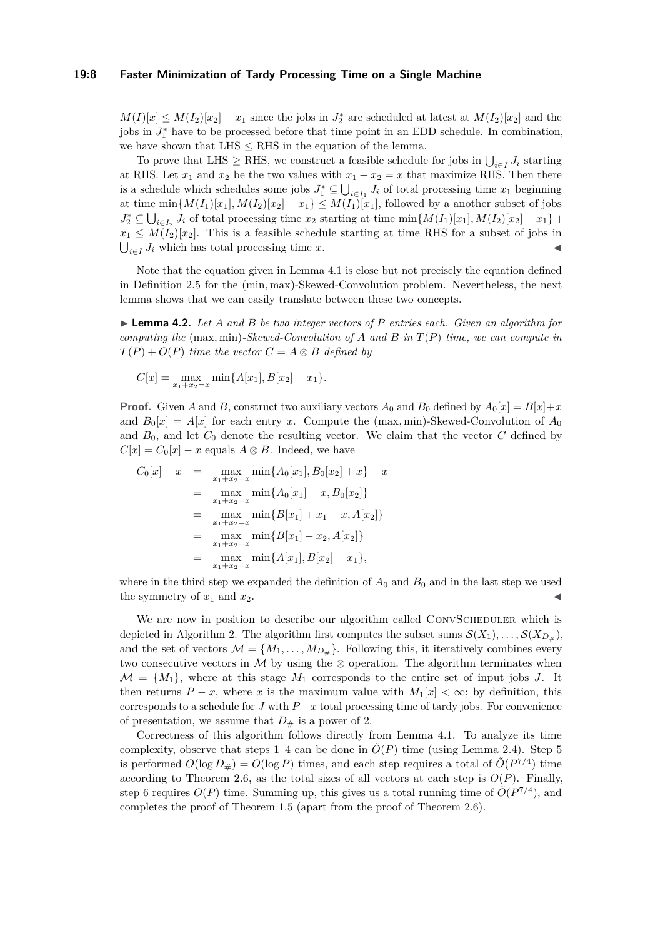#### **19:8 Faster Minimization of Tardy Processing Time on a Single Machine**

 $M(I)[x] \leq M(I_2)[x_2] - x_1$  since the jobs in  $J_2^*$  are scheduled at latest at  $M(I_2)[x_2]$  and the jobs in  $J_1^*$  have to be processed before that time point in an EDD schedule. In combination, we have shown that  $L$ HS  $\leq$  RHS in the equation of the lemma.

To prove that LHS  $\ge$  RHS, we construct a feasible schedule for jobs in  $\bigcup_{i \in I} J_i$  starting at RHS. Let  $x_1$  and  $x_2$  be the two values with  $x_1 + x_2 = x$  that maximize RHS. Then there is a schedule which schedules some jobs  $J_1^* \subseteq \bigcup_{i \in I_1} J_i$  of total processing time  $x_1$  beginning at time  $\min\{M(I_1)[x_1], M(I_2)[x_2] - x_1\} \leq M(I_1)[x_1]$ , followed by a another subset of jobs  $J_2^* \subseteq \bigcup_{i \in I_2} J_i$  of total processing time  $x_2$  starting at time  $\min\{M(I_1)[x_1], M(I_2)[x_2] - x_1\}$  $x_1 \leq M(I_2)[x_2]$ . This is a feasible schedule starting at time RHS for a subset of jobs in  $\bigcup_{i \in I} J_i$  which has total processing time *x*.

Note that the equation given in Lemma [4.1](#page-6-1) is close but not precisely the equation defined in Definition [2.5](#page-4-2) for the (min*,* max)-Skewed-Convolution problem. Nevertheless, the next lemma shows that we can easily translate between these two concepts.

I **Lemma 4.2.** *Let A and B be two integer vectors of P entries each. Given an algorithm for computing the* (max*,* min)*-Skewed-Convolution of A and B in T*(*P*) *time, we can compute in*  $T(P) + O(P)$  *time the vector*  $C = A \otimes B$  *defined by* 

$$
C[x] = \max_{x_1+x_2=x} \min\{A[x_1], B[x_2] - x_1\}.
$$

**Proof.** Given *A* and *B*, construct two auxiliary vectors  $A_0$  and  $B_0$  defined by  $A_0[x] = B[x] + x$ and  $B_0[x] = A[x]$  for each entry *x*. Compute the (max, min)-Skewed-Convolution of  $A_0$ and  $B_0$ , and let  $C_0$  denote the resulting vector. We claim that the vector  $C$  defined by  $C[x] = C_0[x] - x$  equals  $A \otimes B$ . Indeed, we have

$$
C_0[x] - x = \max_{x_1 + x_2 = x} \min\{A_0[x_1], B_0[x_2] + x\} - x
$$
  
\n
$$
= \max_{x_1 + x_2 = x} \min\{A_0[x_1] - x, B_0[x_2]\}
$$
  
\n
$$
= \max_{x_1 + x_2 = x} \min\{B[x_1] + x_1 - x, A[x_2]\}
$$
  
\n
$$
= \max_{x_1 + x_2 = x} \min\{B[x_1] - x_2, A[x_2]\}
$$
  
\n
$$
= \max_{x_1 + x_2 = x} \min\{A[x_1], B[x_2] - x_1\},
$$

where in the third step we expanded the definition of  $A_0$  and  $B_0$  and in the last step we used the symmetry of  $x_1$  and  $x_2$ .

We are now in position to describe our algorithm called CONVSCHEDULER which is depicted in Algorithm [2.](#page-8-1) The algorithm first computes the subset sums  $\mathcal{S}(X_1), \ldots, \mathcal{S}(X_{D_{\#}})$ , and the set of vectors  $\mathcal{M} = \{M_1, \ldots, M_{D_{\#}}\}.$  Following this, it iteratively combines every two consecutive vectors in  $M$  by using the  $\otimes$  operation. The algorithm terminates when  $\mathcal{M} = \{M_1\}$ , where at this stage  $M_1$  corresponds to the entire set of input jobs *J*. It then returns  $P - x$ , where *x* is the maximum value with  $M_1[x] < \infty$ ; by definition, this corresponds to a schedule for *J* with  $P-x$  total processing time of tardy jobs. For convenience of presentation, we assume that  $D_{\#}$  is a power of 2.

Correctness of this algorithm follows directly from Lemma [4.1.](#page-6-1) To analyze its time complexity, observe that steps 1–4 can be done in  $\tilde{O}(P)$  time (using Lemma [2.4\)](#page-4-1). Step 5 is performed  $O(\log D_{\#}) = O(\log P)$  times, and each step requires a total of  $O(P^{7/4})$  time according to Theorem [2.6,](#page-4-3) as the total sizes of all vectors at each step is  $O(P)$ . Finally, step 6 requires  $O(P)$  time. Summing up, this gives us a total running time of  $O(P^{7/4})$ , and completes the proof of Theorem [1.5](#page-2-2) (apart from the proof of Theorem [2.6\)](#page-4-3).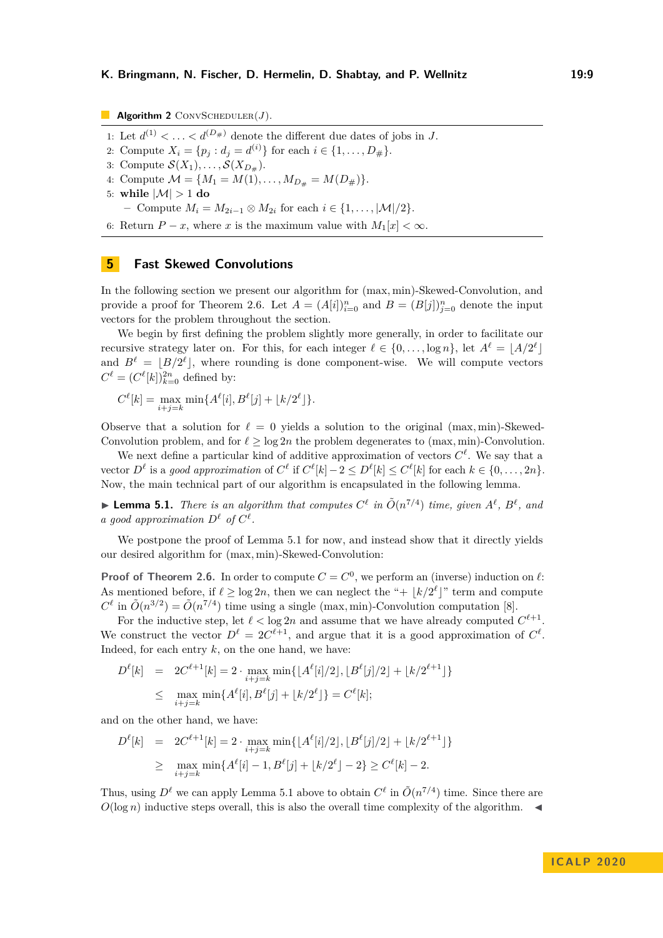#### <span id="page-8-1"></span>**Algorithm 2** CONVSCHEDULER $(J)$ .

- 1: Let  $d^{(1)} < \ldots < d^{(D_{\#})}$  denote the different due dates of jobs in *J*.
- 2: Compute  $X_i = \{p_j : d_j = d^{(i)}\}$  for each  $i \in \{1, ..., D_\# \}$ .
- 3: Compute  $\mathcal{S}(X_1), \ldots, \mathcal{S}(X_{D_{\#}})$ .
- 4: Compute  $\mathcal{M} = \{M_1 = M(1), \ldots, M_{D_{\#}} = M(D_{\#})\}.$
- 5: while  $|\mathcal{M}| > 1$  do

**–** Compute *M<sup>i</sup>* = *M*2*i*−<sup>1</sup> ⊗ *M*2*<sup>i</sup>* for each *i* ∈ {1*, . . . ,* |M|*/*2}.

6: Return  $P - x$ , where *x* is the maximum value with  $M_1[x] < \infty$ .

# <span id="page-8-0"></span>**5 Fast Skewed Convolutions**

In the following section we present our algorithm for (max*,* min)-Skewed-Convolution, and provide a proof for Theorem [2.6.](#page-4-3) Let  $A = (A[i])_{i=0}^n$  and  $B = (B[j])_{j=0}^n$  denote the input vectors for the problem throughout the section.

We begin by first defining the problem slightly more generally, in order to facilitate our recursive strategy later on. For this, for each integer  $\ell \in \{0, \ldots, \log n\}$ , let  $A^{\ell} = |A/2^{\ell}|$ and  $B^{\ell} = [B/2^{\ell}]$ , where rounding is done component-wise. We will compute vectors  $C^{\ell} = (C^{\ell}[k])_{k=0}^{2n}$  defined by:

 $C^{\ell}[k] = \max_{i+j=k} \min\{A^{\ell}[i], B^{\ell}[j] + \lfloor k/2^{\ell} \rfloor\}.$ 

Observe that a solution for  $\ell = 0$  yields a solution to the original (max, min)-Skewed-Convolution problem, and for  $\ell \ge \log 2n$  the problem degenerates to (max, min)-Convolution.

We next define a particular kind of additive approximation of vectors  $C^{\ell}$ . We say that a vector  $D^{\ell}$  is a good approximation of  $C^{\ell}$  if  $C^{\ell}[k]-2 \leq D^{\ell}[k] \leq C^{\ell}[k]$  for each  $k \in \{0, \ldots, 2n\}$ . Now, the main technical part of our algorithm is encapsulated in the following lemma.

<span id="page-8-2"></span>**Example 1.1.** *There is an algorithm that computes*  $C^{\ell}$  *in*  $\tilde{O}(n^{7/4})$  *time, given*  $A^{\ell}$ *,*  $B^{\ell}$ *<i>, and a* good approximation  $D^{\ell}$  of  $C^{\ell}$ .

We postpone the proof of Lemma [5.1](#page-8-2) for now, and instead show that it directly yields our desired algorithm for (max*,* min)-Skewed-Convolution:

**Proof of Theorem [2.6.](#page-4-3)** In order to compute  $C = C^0$ , we perform an (inverse) induction on  $\ell$ : As mentioned before, if  $\ell \ge \log 2n$ , then we can neglect the "+  $\lfloor k/2^{\ell} \rfloor$ " term and compute  $C^{\ell}$  in  $\tilde{O}(n^{3/2}) = \tilde{O}(n^{7/4})$  time using a single (max*,* min)-Convolution computation [\[8\]](#page-11-10).

For the inductive step, let  $\ell < \log 2n$  and assume that we have already computed  $C^{\ell+1}$ . We construct the vector  $D^{\ell} = 2C^{\ell+1}$ , and argue that it is a good approximation of  $C^{\ell}$ . Indeed, for each entry *k*, on the one hand, we have:

$$
D^{\ell}[k] = 2C^{\ell+1}[k] = 2 \cdot \max_{i+j=k} \min\{|A^{\ell}[i]/2], |B^{\ell}[j]/2| + \lfloor k/2^{\ell+1} \rfloor\}
$$
  

$$
\leq \max_{i+j=k} \min\{A^{\ell}[i], B^{\ell}[j] + \lfloor k/2^{\ell} \rfloor\} = C^{\ell}[k];
$$

and on the other hand, we have:

$$
D^{\ell}[k] = 2C^{\ell+1}[k] = 2 \cdot \max_{i+j=k} \min\{ \lfloor A^{\ell}[i]/2 \rfloor, \lfloor B^{\ell}[j]/2 \rfloor + \lfloor k/2^{\ell+1} \rfloor \}
$$
  
 
$$
\geq \max_{i+j=k} \min\{ A^{\ell}[i] - 1, B^{\ell}[j] + \lfloor k/2^{\ell} \rfloor - 2 \} \geq C^{\ell}[k] - 2.
$$

Thus, using  $D^{\ell}$  we can apply Lemma [5.1](#page-8-2) above to obtain  $C^{\ell}$  in  $\tilde{O}(n^{7/4})$  time. Since there are  $O(\log n)$  inductive steps overall, this is also the overall time complexity of the algorithm.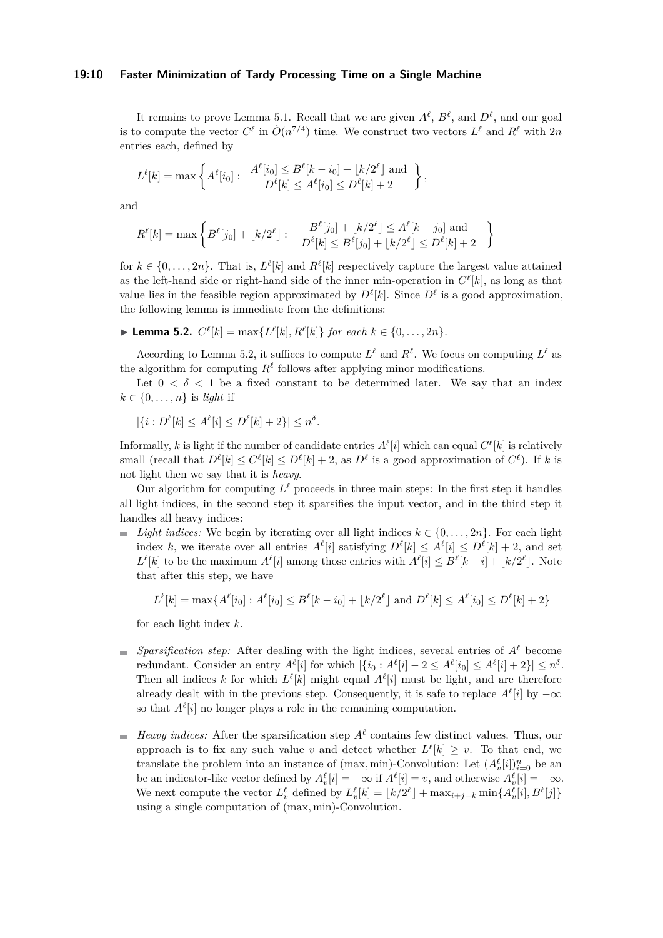#### **19:10 Faster Minimization of Tardy Processing Time on a Single Machine**

It remains to prove Lemma [5.1.](#page-8-2) Recall that we are given  $A^{\ell}$ ,  $B^{\ell}$ , and  $D^{\ell}$ , and our goal is to compute the vector  $C^{\ell}$  in  $\tilde{O}(n^{7/4})$  time. We construct two vectors  $L^{\ell}$  and  $R^{\ell}$  with 2*n* entries each, defined by

$$
L^{\ell}[k] = \max \left\{ A^{\ell}[i_0] : \begin{array}{c} A^{\ell}[i_0] \leq B^{\ell}[k - i_0] + \lfloor k/2^{\ell} \rfloor \text{ and } \\ D^{\ell}[k] \leq A^{\ell}[i_0] \leq D^{\ell}[k] + 2 \end{array} \right\},\right
$$

and

$$
R^{\ell}[k] = \max \left\{ B^{\ell}[j_0] + \lfloor k/2^{\ell} \rfloor : \begin{array}{c} B^{\ell}[j_0] + \lfloor k/2^{\ell} \rfloor \le A^{\ell}[k - j_0] \text{ and } \\ D^{\ell}[k] \le B^{\ell}[j_0] + \lfloor k/2^{\ell} \rfloor \le D^{\ell}[k] + 2 \end{array} \right\}
$$

for  $k \in \{0, \ldots, 2n\}$ . That is,  $L^{\ell}[k]$  and  $R^{\ell}[k]$  respectively capture the largest value attained as the left-hand side or right-hand side of the inner min-operation in  $C^{\ell}[k]$ , as long as that value lies in the feasible region approximated by  $D^{\ell}[k]$ . Since  $D^{\ell}$  is a good approximation, the following lemma is immediate from the definitions:

<span id="page-9-0"></span>▶ **Lemma 5.2.**  $C^{\ell}[k] = \max\{L^{\ell}[k], R^{\ell}[k]\}$  *for each*  $k \in \{0, ..., 2n\}$ *.* 

According to Lemma [5.2,](#page-9-0) it suffices to compute  $L^{\ell}$  and  $R^{\ell}$ . We focus on computing  $L^{\ell}$  as the algorithm for computing  $R^{\ell}$  follows after applying minor modifications.

Let  $0 < \delta < 1$  be a fixed constant to be determined later. We say that an index  $k \in \{0, \ldots, n\}$  is *light* if

$$
|\{i : D^{\ell}[k] \le A^{\ell}[i] \le D^{\ell}[k]+2\}| \le n^{\delta}.
$$

Informally, *k* is light if the number of candidate entries  $A^{\ell}[i]$  which can equal  $C^{\ell}[k]$  is relatively small (recall that  $D^{\ell}[k] \le C^{\ell}[k] \le D^{\ell}[k] + 2$ , as  $D^{\ell}$  is a good approximation of  $C^{\ell}$ ). If *k* is not light then we say that it is *heavy*.

Our algorithm for computing  $L^{\ell}$  proceeds in three main steps: In the first step it handles all light indices, in the second step it sparsifies the input vector, and in the third step it handles all heavy indices:

*Light indices:* We begin by iterating over all light indices  $k \in \{0, ..., 2n\}$ . For each light index *k*, we iterate over all entries  $A^{\ell}[i]$  satisfying  $D^{\ell}[k] \leq A^{\ell}[i] \leq D^{\ell}[k] + 2$ , and set  $L^{\ell}[k]$  to be the maximum  $A^{\ell}[i]$  among those entries with  $A^{\ell}[i] \leq B^{\ell}[k-i] + |k/2^{\ell}|$ . Note that after this step, we have

$$
L^{\ell}[k] = \max\{A^{\ell}[i_0] : A^{\ell}[i_0] \le B^{\ell}[k - i_0] + \lfloor k/2^{\ell} \rfloor \text{ and } D^{\ell}[k] \le A^{\ell}[i_0] \le D^{\ell}[k] + 2\}
$$

for each light index *k*.

- *Sparsification step:* After dealing with the light indices, several entries of  $A^{\ell}$  become  $\blacksquare$ redundant. Consider an entry  $A^{\ell}[i]$  for which  $|\{i_0: A^{\ell}[i] - 2 \le A^{\ell}[i_0] \le A^{\ell}[i] + 2\}| \le n^{\delta}$ . Then all indices k for which  $L^{\ell}[k]$  might equal  $A^{\ell}[i]$  must be light, and are therefore already dealt with in the previous step. Consequently, it is safe to replace  $A^{\ell}[i]$  by  $-\infty$ so that  $A^{\ell}[i]$  no longer plays a role in the remaining computation.
- *Heavy indices:* After the sparsification step  $A^{\ell}$  contains few distinct values. Thus, our approach is to fix any such value *v* and detect whether  $L^{\ell}[k] \geq v$ . To that end, we translate the problem into an instance of (max, min)-Convolution: Let  $(A_v^{\ell}[i])_{i=0}^n$  be an be an indicator-like vector defined by  $A_v^{\ell}[i] = +\infty$  if  $A^{\ell}[i] = v$ , and otherwise  $A_v^{\ell}[i] = -\infty$ . We next compute the vector  $L_v^{\ell}$  defined by  $L_v^{\ell}[k] = \lfloor k/2^{\ell} \rfloor + \max_{i+j=k} \min\{A_v^{\ell}[i], B^{\ell}[j]\}$ using a single computation of (max*,* min)-Convolution.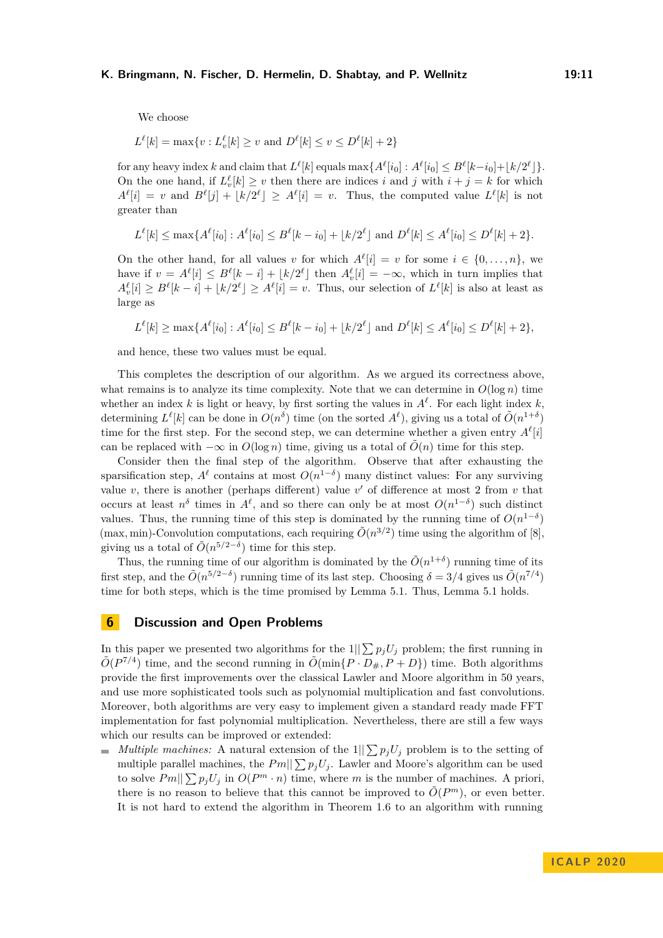We choose

$$
L^{\ell}[k] = \max\{v : L_v^{\ell}[k] \ge v \text{ and } D^{\ell}[k] \le v \le D^{\ell}[k] + 2\}
$$

for any heavy index *k* and claim that  $L^{\ell}[k]$  equals  $\max\{A^{\ell}[i_0]: A^{\ell}[i_0] \leq B^{\ell}[k-i_0] + \lfloor k/2^{\ell} \rfloor\}.$ On the one hand, if  $L_v^{\ell}[k] \ge v$  then there are indices *i* and *j* with  $i + j = k$  for which  $A^{\ell}[i] = v$  and  $B^{\ell}[j] + \lfloor k/2^{\ell} \rfloor \geq A^{\ell}[i] = v$ . Thus, the computed value  $L^{\ell}[k]$  is not greater than

$$
L^{\ell}[k] \le \max\{A^{\ell}[i_0] : A^{\ell}[i_0] \le B^{\ell}[k - i_0] + \lfloor k/2^{\ell} \rfloor \text{ and } D^{\ell}[k] \le A^{\ell}[i_0] \le D^{\ell}[k] + 2\}.
$$

On the other hand, for all values *v* for which  $A^{\ell}[i] = v$  for some  $i \in \{0, \ldots, n\}$ , we have if  $v = A^{\ell}[i] \leq B^{\ell}[k-i] + \lfloor k/2^{\ell} \rfloor$  then  $A^{\ell}_{v}[i] = -\infty$ , which in turn implies that  $A_v^{\ell}[i] \ge B^{\ell}[k-i] + \lfloor k/2^{\ell} \rfloor \ge A^{\ell}[i] = v$ . Thus, our selection of  $L^{\ell}[k]$  is also at least as large as

$$
L^{\ell}[k] \ge \max\{A^{\ell}[i_0] : A^{\ell}[i_0] \le B^{\ell}[k - i_0] + \lfloor k/2^{\ell} \rfloor \text{ and } D^{\ell}[k] \le A^{\ell}[i_0] \le D^{\ell}[k] + 2\},\
$$

and hence, these two values must be equal.

This completes the description of our algorithm. As we argued its correctness above, what remains is to analyze its time complexity. Note that we can determine in  $O(\log n)$  time whether an index *k* is light or heavy, by first sorting the values in  $A^{\ell}$ . For each light index *k*, determining  $L^{\ell}[k]$  can be done in  $O(n^{\delta})$  time (on the sorted  $A^{\ell}$ ), giving us a total of  $\tilde{O}(n^{1+\delta})$ time for the first step. For the second step, we can determine whether a given entry  $A^{\ell}[i]$ can be replaced with  $-\infty$  in  $O(\log n)$  time, giving us a total of  $\tilde{O}(n)$  time for this step.

Consider then the final step of the algorithm. Observe that after exhausting the sparsification step,  $A^{\ell}$  contains at most  $O(n^{1-\delta})$  many distinct values: For any surviving value  $v$ , there is another (perhaps different) value  $v'$  of difference at most 2 from  $v$  that occurs at least  $n^{\delta}$  times in  $A^{\ell}$ , and so there can only be at most  $O(n^{1-\delta})$  such distinct values. Thus, the running time of this step is dominated by the running time of  $O(n^{1-\delta})$ (max, min)-Convolution computations, each requiring  $\tilde{O}(n^{3/2})$  time using the algorithm of [\[8\]](#page-11-10), giving us a total of  $\tilde{O}(n^{5/2-\delta})$  time for this step.

Thus, the running time of our algorithm is dominated by the  $\tilde{O}(n^{1+\delta})$  running time of its first step, and the  $\tilde{O}(n^{5/2-\delta})$  running time of its last step. Choosing  $\delta = 3/4$  gives us  $\tilde{O}(n^{7/4})$ time for both steps, which is the time promised by Lemma [5.1.](#page-8-2) Thus, Lemma [5.1](#page-8-2) holds.

## <span id="page-10-0"></span>**6 Discussion and Open Problems**

In this paper we presented two algorithms for the  $1||\sum p_j U_j$  problem; the first running in  $\tilde{O}(P^{7/4})$  time, and the second running in  $\tilde{O}(\min\{P \cdot D_{\#}, P + D\})$  time. Both algorithms provide the first improvements over the classical Lawler and Moore algorithm in 50 years, and use more sophisticated tools such as polynomial multiplication and fast convolutions. Moreover, both algorithms are very easy to implement given a standard ready made FFT implementation for fast polynomial multiplication. Nevertheless, there are still a few ways which our results can be improved or extended:

*Multiple machines:* A natural extension of the  $1||\sum p_j U_j$  problem is to the setting of multiple parallel machines, the  $Pm||\sum p_j U_j$ . Lawler and Moore's algorithm can be used to solve  $Pm||\sum p_j U_j$  in  $O(P^m \cdot n)$  time, where *m* is the number of machines. A priori, there is no reason to believe that this cannot be improved to  $\tilde{O}(P^m)$ , or even better. It is not hard to extend the algorithm in Theorem [1.6](#page-3-1) to an algorithm with running